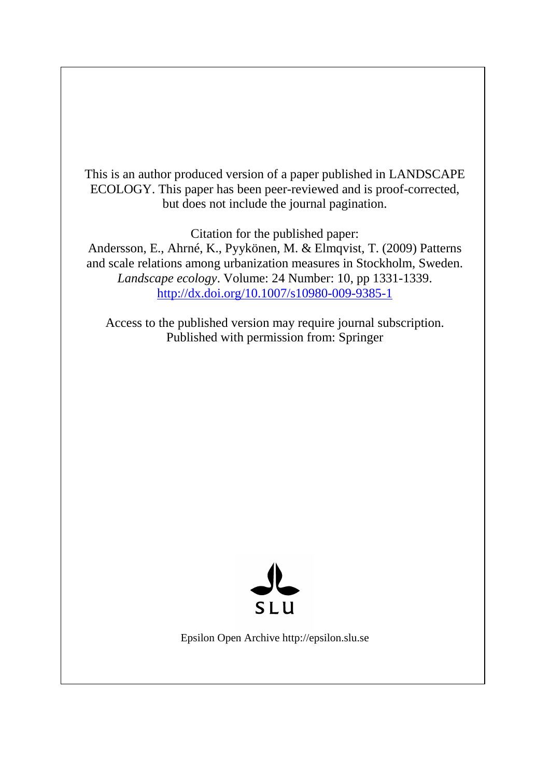This is an author produced version of a paper published in LANDSCAPE ECOLOGY. This paper has been peer-reviewed and is proof-corrected, but does not include the journal pagination.

Citation for the published paper:

Andersson, E., Ahrné, K., Pyykönen, M. & Elmqvist, T. (2009) Patterns and scale relations among urbanization measures in Stockholm, Sweden. *Landscape ecology*. Volume: 24 Number: 10, pp 1331-1339. <http://dx.doi.org/10.1007/s10980-009-9385-1>

Access to the published version may require journal subscription. Published with permission from: Springer



Epsilon Open Archive http://epsilon.slu.se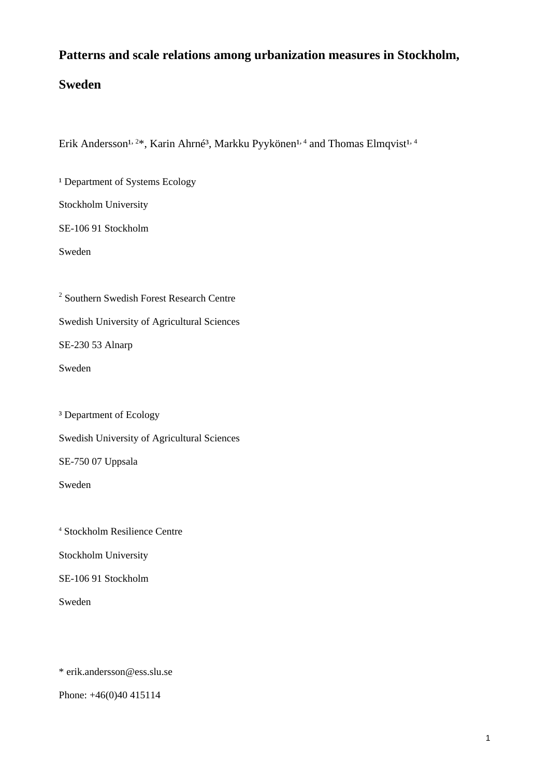# **Patterns and scale relations among urbanization measures in Stockholm,**

# **Sweden**

Erik Andersson<sup>1, 2\*</sup>, Karin Ahrné<sup>3</sup>, Markku Pyykönen<sup>1, 4</sup> and Thomas Elmqvist<sup>1, 4</sup>

<sup>1</sup> Department of Systems Ecology Stockholm University SE-106 91 Stockholm Sweden

2 Southern Swedish Forest Research Centre Swedish University of Agricultural Sciences SE-230 53 Alnarp Sweden

<sup>3</sup> Department of Ecology Swedish University of Agricultural Sciences SE-750 07 Uppsala Sweden

4 Stockholm Resilience Centre

Stockholm University

SE-106 91 Stockholm

Sweden

\* erik.andersson@ess.slu.se

Phone: +46(0)40 415114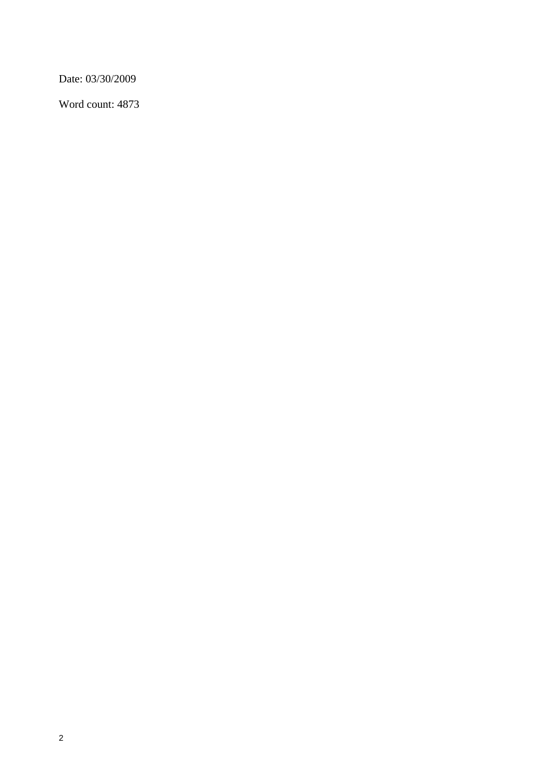Date: 03/30/2009

Word count: 4873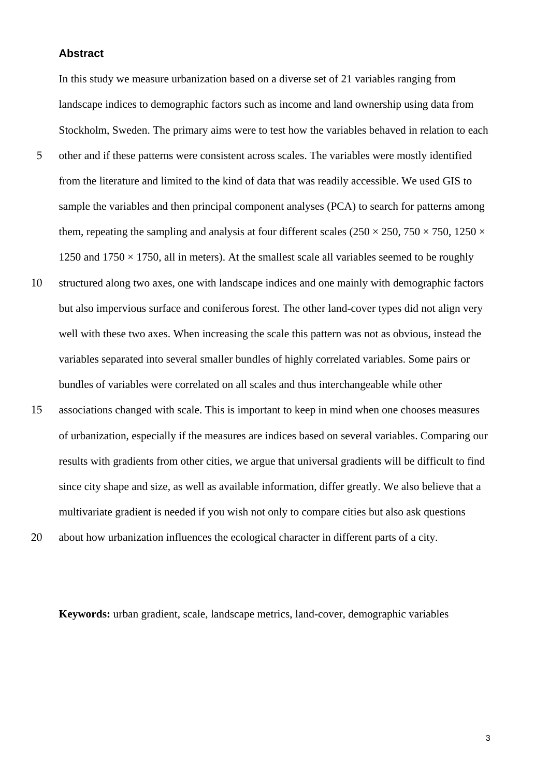### **Abstract**

In this study we measure urbanization based on a diverse set of 21 variables ranging from landscape indices to demographic factors such as income and land ownership using data from Stockholm, Sweden. The primary aims were to test how the variables behaved in relation to each

- other and if these patterns were consistent across scales. The variables were mostly identified from the literature and limited to the kind of data that was readily accessible. We used GIS to sample the variables and then principal component analyses (PCA) to search for patterns among them, repeating the sampling and analysis at four different scales ( $250 \times 250$ ,  $750 \times 750$ ,  $1250 \times$ 1250 and 1750  $\times$  1750, all in meters). At the smallest scale all variables seemed to be roughly 5
- structured along two axes, one with landscape indices and one mainly with demographic factors but also impervious surface and coniferous forest. The other land-cover types did not align very well with these two axes. When increasing the scale this pattern was not as obvious, instead the variables separated into several smaller bundles of highly correlated variables. Some pairs or bundles of variables were correlated on all scales and thus interchangeable while other 10
- associations changed with scale. This is important to keep in mind when one chooses measures of urbanization, especially if the measures are indices based on several variables. Comparing our results with gradients from other cities, we argue that universal gradients will be difficult to find since city shape and size, as well as available information, differ greatly. We also believe that a multivariate gradient is needed if you wish not only to compare cities but also ask questions 15
- about how urbanization influences the ecological character in different parts of a city. 20

**Keywords:** urban gradient, scale, landscape metrics, land-cover, demographic variables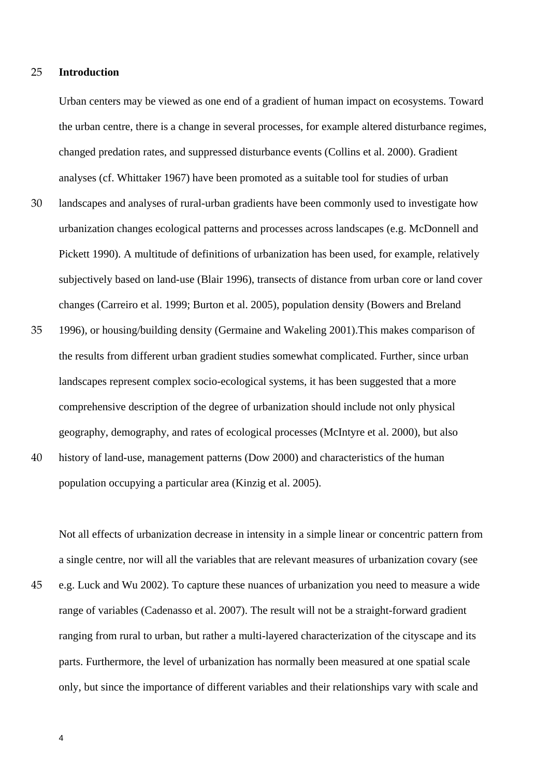#### 25 **Introduction**

30

35

40

Urban centers may be viewed as one end of a gradient of human impact on ecosystems. Toward the urban centre, there is a change in several processes, for example altered disturbance regimes, changed predation rates, and suppressed disturbance events (Collins et al. 2000). Gradient analyses (cf. Whittaker 1967) have been promoted as a suitable tool for studies of urban landscapes and analyses of rural-urban gradients have been commonly used to investigate how urbanization changes ecological patterns and processes across landscapes (e.g. McDonnell and Pickett 1990). A multitude of definitions of urbanization has been used, for example, relatively subjectively based on land-use (Blair 1996), transects of distance from urban core or land cover changes (Carreiro et al. 1999; Burton et al. 2005), population density (Bowers and Breland 1996), or housing/building density (Germaine and Wakeling 2001).This makes comparison of the results from different urban gradient studies somewhat complicated. Further, since urban landscapes represent complex socio-ecological systems, it has been suggested that a more comprehensive description of the degree of urbanization should include not only physical geography, demography, and rates of ecological processes (McIntyre et al. 2000), but also history of land-use, management patterns (Dow 2000) and characteristics of the human

population occupying a particular area (Kinzig et al. 2005).

Not all effects of urbanization decrease in intensity in a simple linear or concentric pattern from a single centre, nor will all the variables that are relevant measures of urbanization covary (see

45 e.g. Luck and Wu 2002). To capture these nuances of urbanization you need to measure a wide range of variables (Cadenasso et al. 2007). The result will not be a straight-forward gradient ranging from rural to urban, but rather a multi-layered characterization of the cityscape and its parts. Furthermore, the level of urbanization has normally been measured at one spatial scale only, but since the importance of different variables and their relationships vary with scale and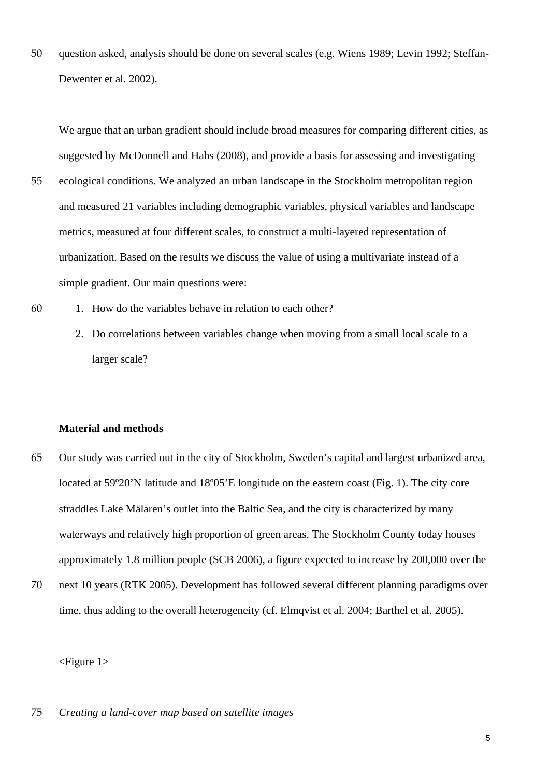50 question asked, analysis should be done on several scales (e.g. Wiens 1989; Levin 1992; Steffan-Dewenter et al. 2002).

We argue that an urban gradient should include broad measures for comparing different cities, as suggested by McDonnell and Hahs (2008), and provide a basis for assessing and investigating

- 55 ecological conditions. We analyzed an urban landscape in the Stockholm metropolitan region and measured 21 variables including demographic variables, physical variables and landscape metrics, measured at four different scales, to construct a multi-layered representation of urbanization. Based on the results we discuss the value of using a multivariate instead of a simple gradient. Our main questions were:
- 60 1. How do the variables behave in relation to each other?
	- 2. Do correlations between variables change when moving from a small local scale to a larger scale?

# **Material and methods**

- 65 Our study was carried out in the city of Stockholm, Sweden's capital and largest urbanized area, located at 59°20'N latitude and 18°05'E longitude on the eastern coast (Fig. 1). The city core straddles Lake Mälaren's outlet into the Baltic Sea, and the city is characterized by many waterways and relatively high proportion of green areas. The Stockholm County today houses approximately 1.8 million people (SCB 2006), a figure expected to increase by 200,000 over the
- 70 next 10 years (RTK 2005). Development has followed several different planning paradigms over time, thus adding to the overall heterogeneity (cf. Elmqvist et al. 2004; Barthel et al. 2005).

<Figure 1>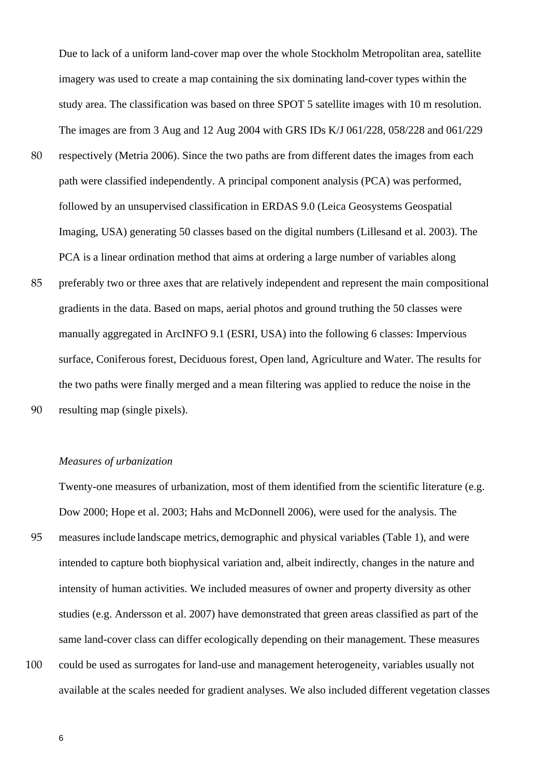Due to lack of a uniform land-cover map over the whole Stockholm Metropolitan area, satellite imagery was used to create a map containing the six dominating land-cover types within the study area. The classification was based on three SPOT 5 satellite images with 10 m resolution. The images are from 3 Aug and 12 Aug 2004 with GRS IDs K/J 061/228, 058/228 and 061/229

- respectively (Metria 2006). Since the two paths are from different dates the images from each path were classified independently. A principal component analysis (PCA) was performed, followed by an unsupervised classification in ERDAS 9.0 (Leica Geosystems Geospatial Imaging, USA) generating 50 classes based on the digital numbers (Lillesand et al. 2003). The PCA is a linear ordination method that aims at ordering a large number of variables along 80
- preferably two or three axes that are relatively independent and represent the main compositional gradients in the data. Based on maps, aerial photos and ground truthing the 50 classes were manually aggregated in ArcINFO 9.1 (ESRI, USA) into the following 6 classes: Impervious surface, Coniferous forest, Deciduous forest, Open land, Agriculture and Water. The results for the two paths were finally merged and a mean filtering was applied to reduce the noise in the resulting map (single pixels). 85 90

### *Measures of urbanization*

95 100 Twenty-one measures of urbanization, most of them identified from the scientific literature (e.g. Dow 2000; Hope et al. 2003; Hahs and McDonnell 2006), were used for the analysis. The measures include landscape metrics, demographic and physical variables (Table 1), and were intended to capture both biophysical variation and, albeit indirectly, changes in the nature and intensity of human activities. We included measures of owner and property diversity as other studies (e.g. Andersson et al. 2007) have demonstrated that green areas classified as part of the same land-cover class can differ ecologically depending on their management. These measures could be used as surrogates for land-use and management heterogeneity, variables usually not

available at the scales needed for gradient analyses. We also included different vegetation classes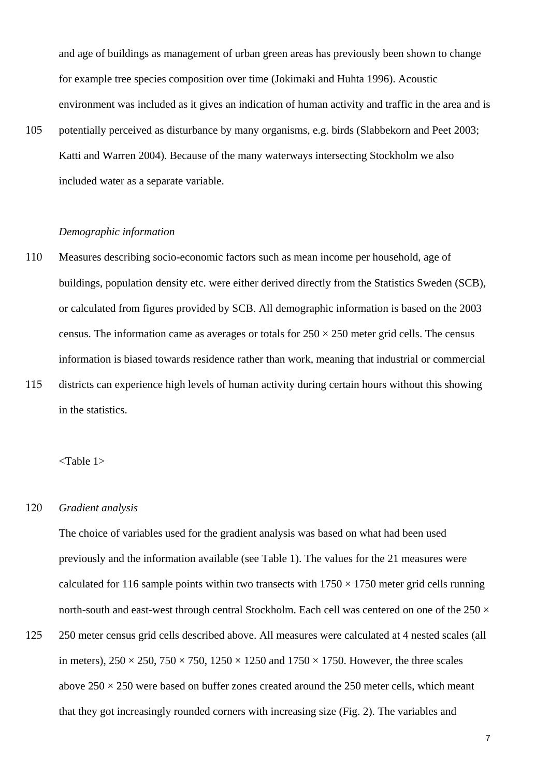and age of buildings as management of urban green areas has previously been shown to change for example tree species composition over time (Jokimaki and Huhta 1996). Acoustic environment was included as it gives an indication of human activity and traffic in the area and is

potentially perceived as disturbance by many organisms, e.g. birds (Slabbekorn and Peet 2003; Katti and Warren 2004). Because of the many waterways intersecting Stockholm we also included water as a separate variable. 105

## *Demographic information*

- 110 Measures describing socio-economic factors such as mean income per household, age of buildings, population density etc. were either derived directly from the Statistics Sweden (SCB), or calculated from figures provided by SCB. All demographic information is based on the 2003 census. The information came as averages or totals for  $250 \times 250$  meter grid cells. The census information is biased towards residence rather than work, meaning that industrial or commercial
- 115 districts can experience high levels of human activity during certain hours without this showing in the statistics.

<Table 1>

#### 120 *Gradient analysis*

125

The choice of variables used for the gradient analysis was based on what had been used previously and the information available (see Table 1). The values for the 21 measures were calculated for 116 sample points within two transects with  $1750 \times 1750$  meter grid cells running north-south and east-west through central Stockholm. Each cell was centered on one of the  $250 \times$ 250 meter census grid cells described above. All measures were calculated at 4 nested scales (all in meters),  $250 \times 250$ ,  $750 \times 750$ ,  $1250 \times 1250$  and  $1750 \times 1750$ . However, the three scales above  $250 \times 250$  were based on buffer zones created around the 250 meter cells, which meant that they got increasingly rounded corners with increasing size (Fig. 2). The variables and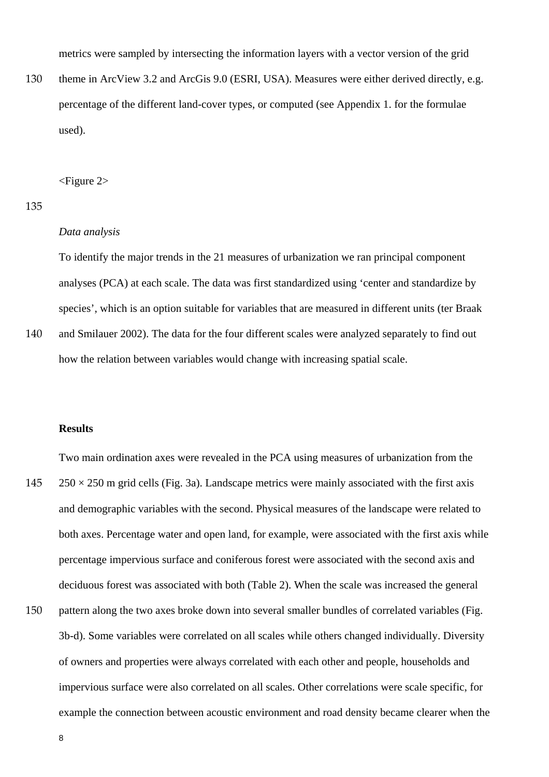metrics were sampled by intersecting the information layers with a vector version of the grid

theme in ArcView 3.2 and ArcGis 9.0 (ESRI, USA). Measures were either derived directly, e.g. percentage of the different land-cover types, or computed (see Appendix 1. for the formulae used). 130

<Figure 2>

### 135

# *Data analysis*

To identify the major trends in the 21 measures of urbanization we ran principal component analyses (PCA) at each scale. The data was first standardized using 'center and standardize by species', which is an option suitable for variables that are measured in different units (ter Braak

140 and Smilauer 2002). The data for the four different scales were analyzed separately to find out how the relation between variables would change with increasing spatial scale.

# **Results**

145 150 Two main ordination axes were revealed in the PCA using measures of urbanization from the  $250 \times 250$  m grid cells (Fig. 3a). Landscape metrics were mainly associated with the first axis and demographic variables with the second. Physical measures of the landscape were related to both axes. Percentage water and open land, for example, were associated with the first axis while percentage impervious surface and coniferous forest were associated with the second axis and deciduous forest was associated with both (Table 2). When the scale was increased the general pattern along the two axes broke down into several smaller bundles of correlated variables (Fig. 3b-d). Some variables were correlated on all scales while others changed individually. Diversity of owners and properties were always correlated with each other and people, households and impervious surface were also correlated on all scales. Other correlations were scale specific, for

example the connection between acoustic environment and road density became clearer when the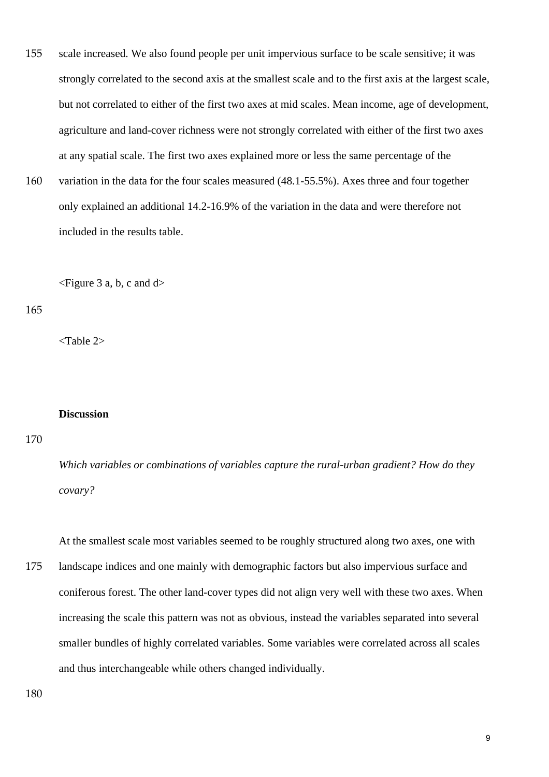- 155 scale increased. We also found people per unit impervious surface to be scale sensitive; it was strongly correlated to the second axis at the smallest scale and to the first axis at the largest scale, but not correlated to either of the first two axes at mid scales. Mean income, age of development, agriculture and land-cover richness were not strongly correlated with either of the first two axes at any spatial scale. The first two axes explained more or less the same percentage of the
- 160 variation in the data for the four scales measured (48.1-55.5%). Axes three and four together only explained an additional 14.2-16.9% of the variation in the data and were therefore not included in the results table.

 $\leq$ Figure 3 a, b, c and d $>$ 

# 165

<Table 2>

# **Discussion**

170

*Which variables or combinations of variables capture the rural-urban gradient? How do they covary?* 

175 At the smallest scale most variables seemed to be roughly structured along two axes, one with landscape indices and one mainly with demographic factors but also impervious surface and coniferous forest. The other land-cover types did not align very well with these two axes. When increasing the scale this pattern was not as obvious, instead the variables separated into several smaller bundles of highly correlated variables. Some variables were correlated across all scales and thus interchangeable while others changed individually.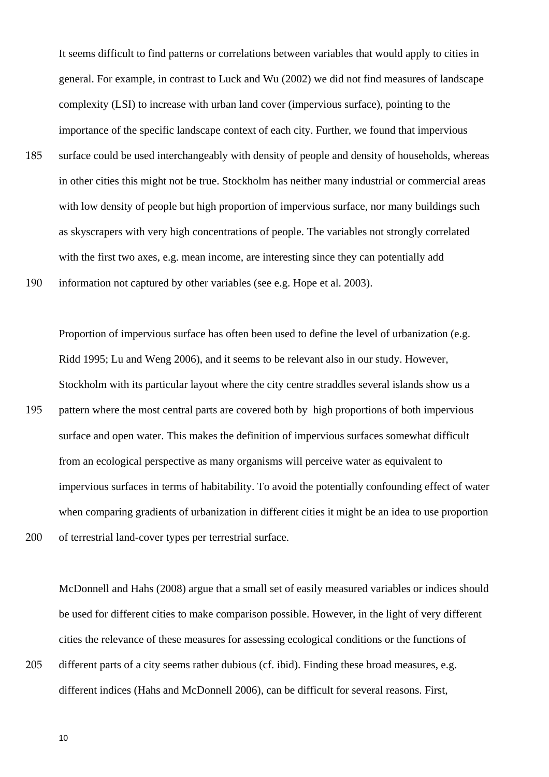It seems difficult to find patterns or correlations between variables that would apply to cities in general. For example, in contrast to Luck and Wu (2002) we did not find measures of landscape complexity (LSI) to increase with urban land cover (impervious surface), pointing to the importance of the specific landscape context of each city. Further, we found that impervious

- surface could be used interchangeably with density of people and density of households, whereas in other cities this might not be true. Stockholm has neither many industrial or commercial areas with low density of people but high proportion of impervious surface, nor many buildings such as skyscrapers with very high concentrations of people. The variables not strongly correlated with the first two axes, e.g. mean income, are interesting since they can potentially add 185
- information not captured by other variables (see e.g. Hope et al. 2003). 190

195 200 Proportion of impervious surface has often been used to define the level of urbanization (e.g. Ridd 1995; Lu and Weng 2006), and it seems to be relevant also in our study. However, Stockholm with its particular layout where the city centre straddles several islands show us a pattern where the most central parts are covered both by high proportions of both impervious surface and open water. This makes the definition of impervious surfaces somewhat difficult from an ecological perspective as many organisms will perceive water as equivalent to impervious surfaces in terms of habitability. To avoid the potentially confounding effect of water when comparing gradients of urbanization in different cities it might be an idea to use proportion of terrestrial land-cover types per terrestrial surface.

McDonnell and Hahs (2008) argue that a small set of easily measured variables or indices should be used for different cities to make comparison possible. However, in the light of very different cities the relevance of these measures for assessing ecological conditions or the functions of

205 different parts of a city seems rather dubious (cf. ibid). Finding these broad measures, e.g. different indices (Hahs and McDonnell 2006), can be difficult for several reasons. First,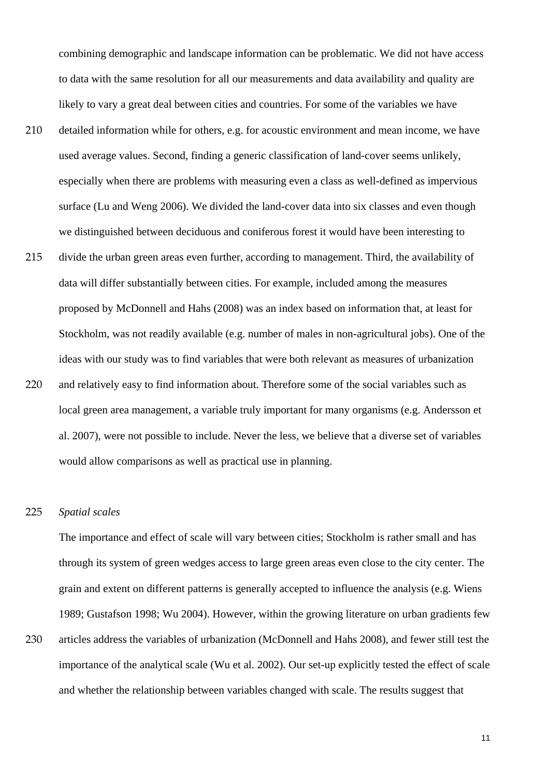combining demographic and landscape information can be problematic. We did not have access to data with the same resolution for all our measurements and data availability and quality are likely to vary a great deal between cities and countries. For some of the variables we have

- detailed information while for others, e.g. for acoustic environment and mean income, we have used average values. Second, finding a generic classification of land-cover seems unlikely, especially when there are problems with measuring even a class as well-defined as impervious surface (Lu and Weng 2006). We divided the land-cover data into six classes and even though we distinguished between deciduous and coniferous forest it would have been interesting to 210
- divide the urban green areas even further, according to management. Third, the availability of data will differ substantially between cities. For example, included among the measures proposed by McDonnell and Hahs (2008) was an index based on information that, at least for Stockholm, was not readily available (e.g. number of males in non-agricultural jobs). One of the ideas with our study was to find variables that were both relevant as measures of urbanization 215
- and relatively easy to find information about. Therefore some of the social variables such as local green area management, a variable truly important for many organisms (e.g. Andersson et al. 2007), were not possible to include. Never the less, we believe that a diverse set of variables would allow comparisons as well as practical use in planning. 220

#### 225 *Spatial scales*

The importance and effect of scale will vary between cities; Stockholm is rather small and has through its system of green wedges access to large green areas even close to the city center. The grain and extent on different patterns is generally accepted to influence the analysis (e.g. Wiens 1989; Gustafson 1998; Wu 2004). However, within the growing literature on urban gradients few

230 articles address the variables of urbanization (McDonnell and Hahs 2008), and fewer still test the importance of the analytical scale (Wu et al. 2002). Our set-up explicitly tested the effect of scale and whether the relationship between variables changed with scale. The results suggest that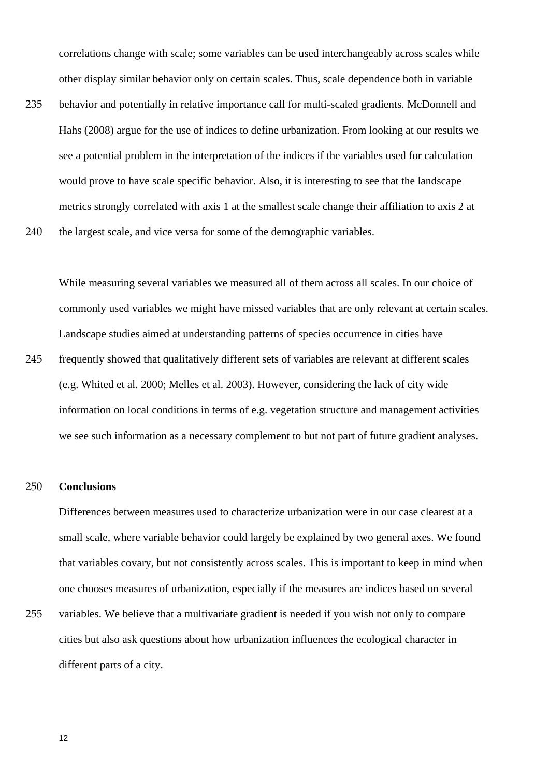correlations change with scale; some variables can be used interchangeably across scales while other display similar behavior only on certain scales. Thus, scale dependence both in variable

behavior and potentially in relative importance call for multi-scaled gradients. McDonnell and Hahs (2008) argue for the use of indices to define urbanization. From looking at our results we see a potential problem in the interpretation of the indices if the variables used for calculation would prove to have scale specific behavior. Also, it is interesting to see that the landscape metrics strongly correlated with axis 1 at the smallest scale change their affiliation to axis 2 at the largest scale, and vice versa for some of the demographic variables. 235 240

While measuring several variables we measured all of them across all scales. In our choice of commonly used variables we might have missed variables that are only relevant at certain scales. Landscape studies aimed at understanding patterns of species occurrence in cities have

245 frequently showed that qualitatively different sets of variables are relevant at different scales (e.g. Whited et al. 2000; Melles et al. 2003). However, considering the lack of city wide information on local conditions in terms of e.g. vegetation structure and management activities we see such information as a necessary complement to but not part of future gradient analyses.

#### 250 **Conclusions**

Differences between measures used to characterize urbanization were in our case clearest at a small scale, where variable behavior could largely be explained by two general axes. We found that variables covary, but not consistently across scales. This is important to keep in mind when one chooses measures of urbanization, especially if the measures are indices based on several

255 variables. We believe that a multivariate gradient is needed if you wish not only to compare cities but also ask questions about how urbanization influences the ecological character in different parts of a city.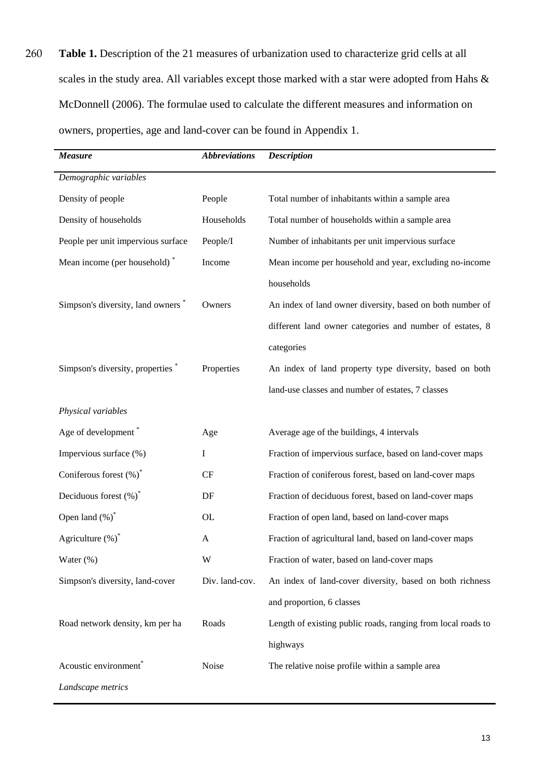260 **Table 1.** Description of the 21 measures of urbanization used to characterize grid cells at all scales in the study area. All variables except those marked with a star were adopted from Hahs & McDonnell (2006). The formulae used to calculate the different measures and information on owners, properties, age and land-cover can be found in Appendix 1.

| <b>Measure</b>                           | <b>Abbreviations</b> | <b>Description</b>                                           |
|------------------------------------------|----------------------|--------------------------------------------------------------|
| Demographic variables                    |                      |                                                              |
| Density of people                        | People               | Total number of inhabitants within a sample area             |
| Density of households                    | Households           | Total number of households within a sample area              |
| People per unit impervious surface       | People/I             | Number of inhabitants per unit impervious surface            |
| Mean income (per household) <sup>*</sup> | Income               | Mean income per household and year, excluding no-income      |
|                                          |                      | households                                                   |
| Simpson's diversity, land owners *       | Owners               | An index of land owner diversity, based on both number of    |
|                                          |                      | different land owner categories and number of estates, 8     |
|                                          |                      | categories                                                   |
| Simpson's diversity, properties          | Properties           | An index of land property type diversity, based on both      |
|                                          |                      | land-use classes and number of estates, 7 classes            |
| Physical variables                       |                      |                                                              |
| Age of development *                     | Age                  | Average age of the buildings, 4 intervals                    |
| Impervious surface (%)                   | I                    | Fraction of impervious surface, based on land-cover maps     |
| Coniferous forest (%) <sup>*</sup>       | CF                   | Fraction of coniferous forest, based on land-cover maps      |
| Deciduous forest (%)*                    | DF                   | Fraction of deciduous forest, based on land-cover maps       |
| Open land $(\%)^*$                       | <b>OL</b>            | Fraction of open land, based on land-cover maps              |
| Agriculture $(\%)^*$                     | A                    | Fraction of agricultural land, based on land-cover maps      |
| Water $(\%)$                             | W                    | Fraction of water, based on land-cover maps                  |
| Simpson's diversity, land-cover          | Div. land-cov.       | An index of land-cover diversity, based on both richness     |
|                                          |                      | and proportion, 6 classes                                    |
| Road network density, km per ha          | Roads                | Length of existing public roads, ranging from local roads to |
|                                          |                      | highways                                                     |
| Acoustic environment <sup>®</sup>        | Noise                | The relative noise profile within a sample area              |
| Landscape metrics                        |                      |                                                              |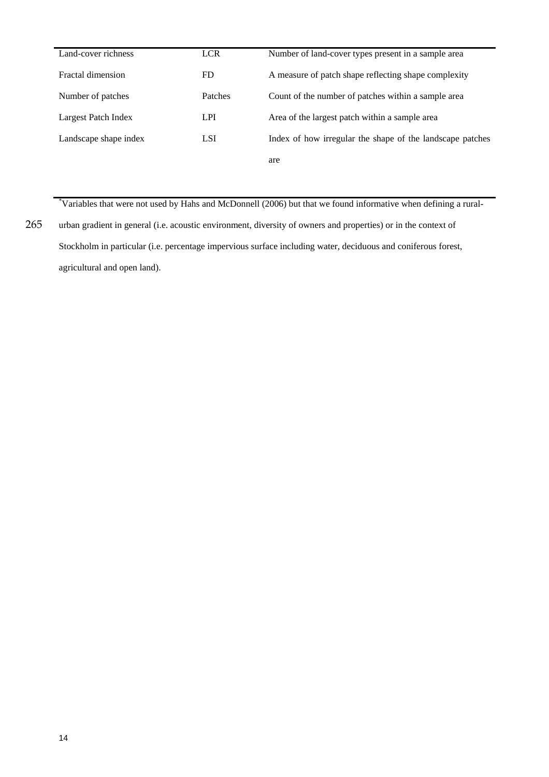| Land-cover richness   | <b>LCR</b> | Number of land-cover types present in a sample area       |
|-----------------------|------------|-----------------------------------------------------------|
| Fractal dimension     | FD         | A measure of patch shape reflecting shape complexity      |
| Number of patches     | Patches    | Count of the number of patches within a sample area       |
| Largest Patch Index   | LPI        | Area of the largest patch within a sample area            |
| Landscape shape index | <b>LSI</b> | Index of how irregular the shape of the landscape patches |
|                       |            | are                                                       |

\* Variables that were not used by Hahs and McDonnell (2006) but that we found informative when defining a ruralurban gradient in general (i.e. acoustic environment, diversity of owners and properties) or in the context of Stockholm in particular (i.e. percentage impervious surface including water, deciduous and coniferous forest,

agricultural and open land).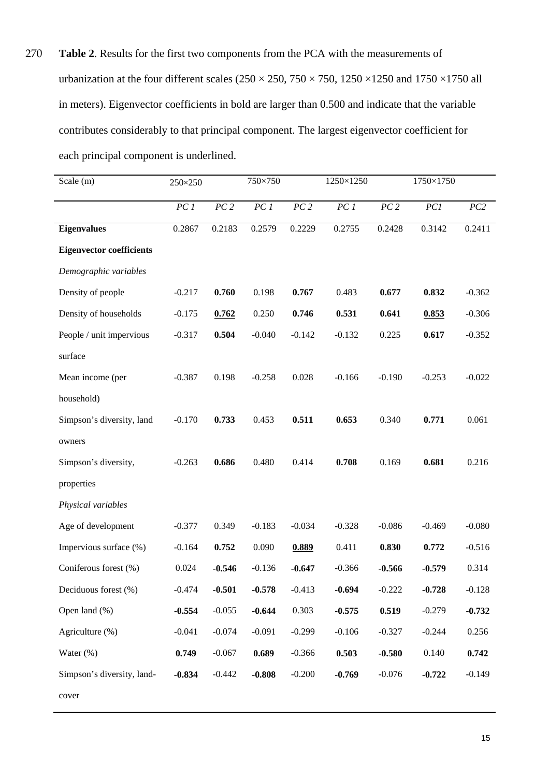270 **Table 2**. Results for the first two components from the PCA with the measurements of urbanization at the four different scales ( $250 \times 250$ ,  $750 \times 750$ ,  $1250 \times 1250$  and  $1750 \times 1750$  all in meters). Eigenvector coefficients in bold are larger than 0.500 and indicate that the variable contributes considerably to that principal component. The largest eigenvector coefficient for each principal component is underlined.

| Scale (m)                       | 250×250  |                 | 750×750  |                 | 1250×1250 |                 | 1750×1750 |          |
|---------------------------------|----------|-----------------|----------|-----------------|-----------|-----------------|-----------|----------|
|                                 | PC1      | PC <sub>2</sub> | PC1      | PC <sub>2</sub> | PC1       | PC <sub>2</sub> | PC1       | PC2      |
| <b>Eigenvalues</b>              | 0.2867   | 0.2183          | 0.2579   | 0.2229          | 0.2755    | 0.2428          | 0.3142    | 0.2411   |
| <b>Eigenvector coefficients</b> |          |                 |          |                 |           |                 |           |          |
| Demographic variables           |          |                 |          |                 |           |                 |           |          |
| Density of people               | $-0.217$ | 0.760           | 0.198    | 0.767           | 0.483     | 0.677           | 0.832     | $-0.362$ |
| Density of households           | $-0.175$ | 0.762           | 0.250    | 0.746           | 0.531     | 0.641           | 0.853     | $-0.306$ |
| People / unit impervious        | $-0.317$ | 0.504           | $-0.040$ | $-0.142$        | $-0.132$  | 0.225           | 0.617     | $-0.352$ |
| surface                         |          |                 |          |                 |           |                 |           |          |
| Mean income (per                | $-0.387$ | 0.198           | $-0.258$ | 0.028           | $-0.166$  | $-0.190$        | $-0.253$  | $-0.022$ |
| household)                      |          |                 |          |                 |           |                 |           |          |
| Simpson's diversity, land       | $-0.170$ | 0.733           | 0.453    | 0.511           | 0.653     | 0.340           | 0.771     | 0.061    |
| owners                          |          |                 |          |                 |           |                 |           |          |
| Simpson's diversity,            | $-0.263$ | 0.686           | 0.480    | 0.414           | 0.708     | 0.169           | 0.681     | 0.216    |
| properties                      |          |                 |          |                 |           |                 |           |          |
| Physical variables              |          |                 |          |                 |           |                 |           |          |
| Age of development              | $-0.377$ | 0.349           | $-0.183$ | $-0.034$        | $-0.328$  | $-0.086$        | $-0.469$  | $-0.080$ |
| Impervious surface (%)          | $-0.164$ | 0.752           | 0.090    | 0.889           | 0.411     | 0.830           | 0.772     | $-0.516$ |
| Coniferous forest (%)           | 0.024    | $-0.546$        | $-0.136$ | $-0.647$        | $-0.366$  | $-0.566$        | $-0.579$  | 0.314    |
| Deciduous forest (%)            | $-0.474$ | $-0.501$        | $-0.578$ | $-0.413$        | $-0.694$  | $-0.222$        | $-0.728$  | $-0.128$ |
| Open land (%)                   | $-0.554$ | $-0.055$        | $-0.644$ | 0.303           | $-0.575$  | 0.519           | $-0.279$  | $-0.732$ |
| Agriculture (%)                 | $-0.041$ | $-0.074$        | $-0.091$ | $-0.299$        | $-0.106$  | $-0.327$        | $-0.244$  | 0.256    |
| Water $(\%)$                    | 0.749    | $-0.067$        | 0.689    | $-0.366$        | 0.503     | $-0.580$        | 0.140     | 0.742    |
| Simpson's diversity, land-      | $-0.834$ | $-0.442$        | $-0.808$ | $-0.200$        | $-0.769$  | $-0.076$        | $-0.722$  | $-0.149$ |
| cover                           |          |                 |          |                 |           |                 |           |          |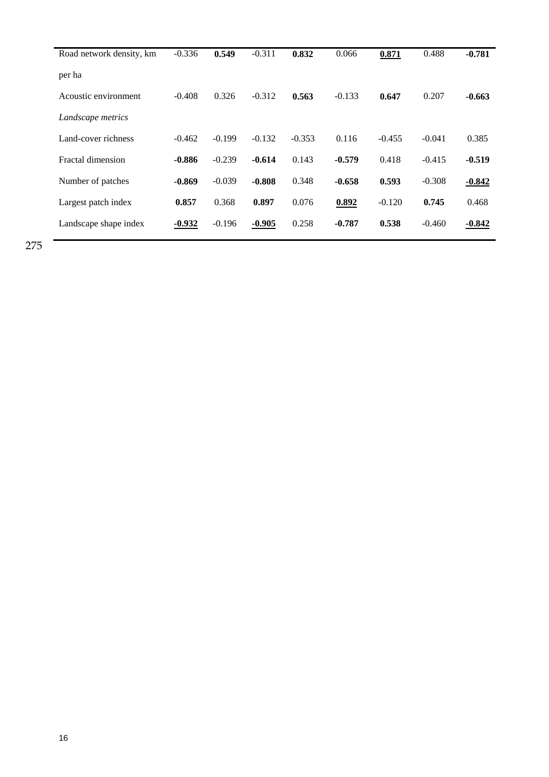| Road network density, km | $-0.336$ | 0.549    | $-0.311$ | 0.832    | 0.066    | 0.871    | 0.488    | $-0.781$ |
|--------------------------|----------|----------|----------|----------|----------|----------|----------|----------|
| per ha                   |          |          |          |          |          |          |          |          |
| Acoustic environment     | $-0.408$ | 0.326    | $-0.312$ | 0.563    | $-0.133$ | 0.647    | 0.207    | $-0.663$ |
| Landscape metrics        |          |          |          |          |          |          |          |          |
| Land-cover richness      | $-0.462$ | $-0.199$ | $-0.132$ | $-0.353$ | 0.116    | $-0.455$ | $-0.041$ | 0.385    |
| Fractal dimension        | $-0.886$ | $-0.239$ | $-0.614$ | 0.143    | $-0.579$ | 0.418    | $-0.415$ | $-0.519$ |
| Number of patches        | $-0.869$ | $-0.039$ | $-0.808$ | 0.348    | $-0.658$ | 0.593    | $-0.308$ | $-0.842$ |
| Largest patch index      | 0.857    | 0.368    | 0.897    | 0.076    | 0.892    | $-0.120$ | 0.745    | 0.468    |
| Landscape shape index    | $-0.932$ | $-0.196$ | $-0.905$ | 0.258    | $-0.787$ | 0.538    | $-0.460$ | $-0.842$ |
|                          |          |          |          |          |          |          |          |          |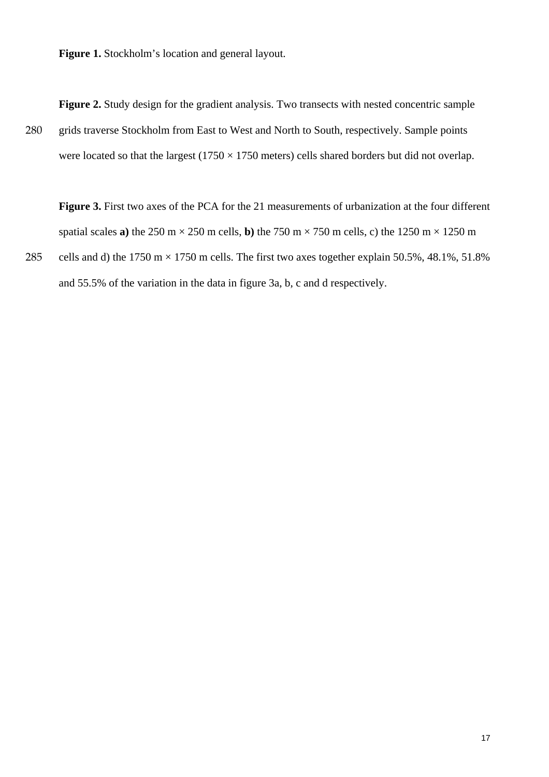**Figure 1.** Stockholm's location and general layout.

Figure 2. Study design for the gradient analysis. Two transects with nested concentric sample

grids traverse Stockholm from East to West and North to South, respectively. Sample points were located so that the largest  $(1750 \times 1750$  meters) cells shared borders but did not overlap. 280

285 Figure 3. First two axes of the PCA for the 21 measurements of urbanization at the four different spatial scales **a**) the 250 m  $\times$  250 m cells, **b**) the 750 m  $\times$  750 m cells, c) the 1250 m  $\times$  1250 m cells and d) the  $1750 \text{ m} \times 1750 \text{ m}$  cells. The first two axes together explain 50.5%, 48.1%, 51.8% and 55.5% of the variation in the data in figure 3a, b, c and d respectively.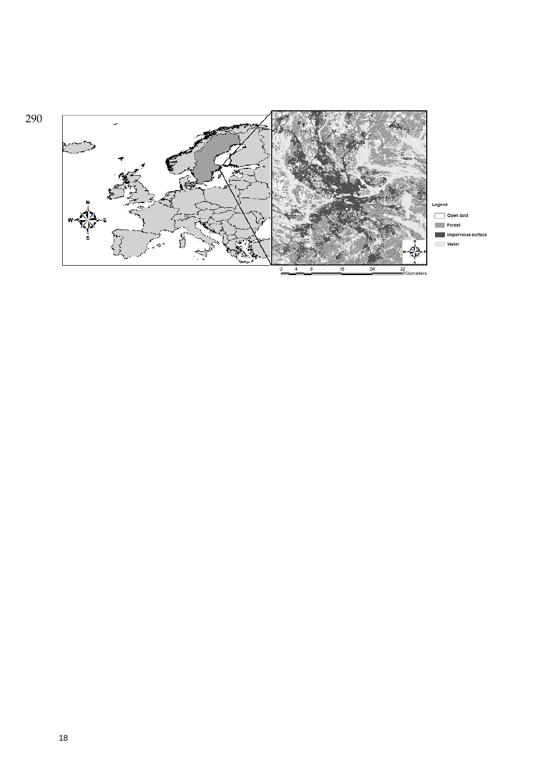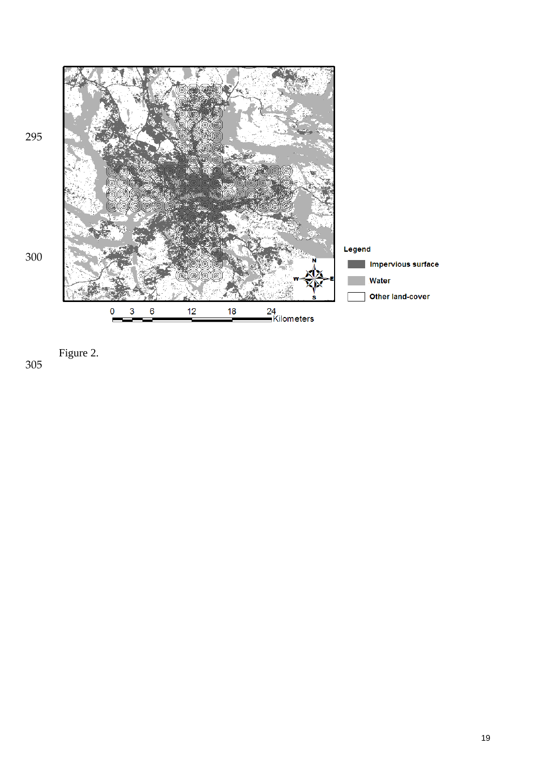

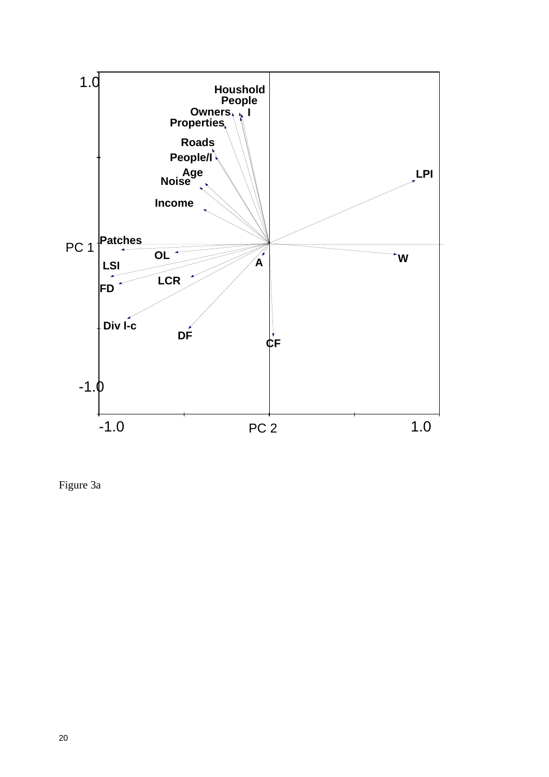

Figure 3a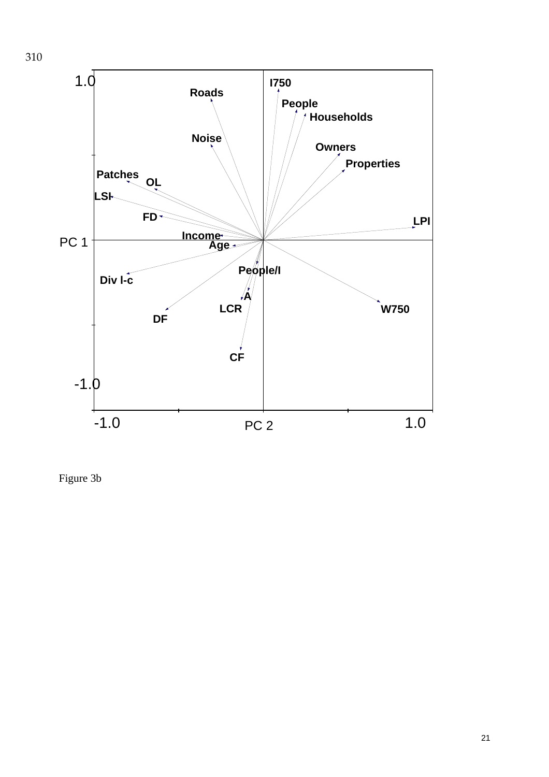

Figure 3b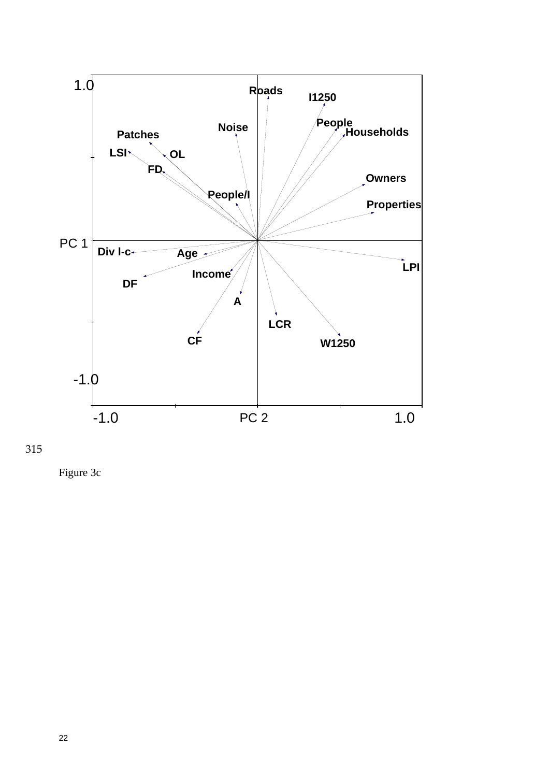



Figure 3c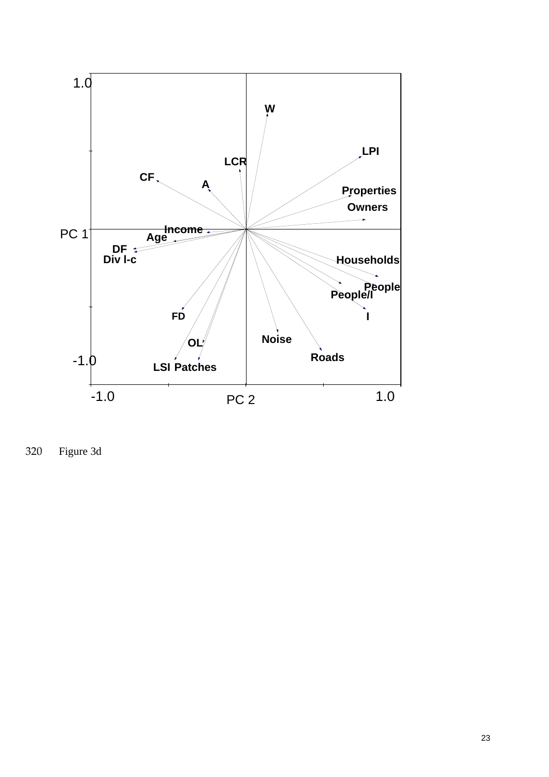

320 Figure 3d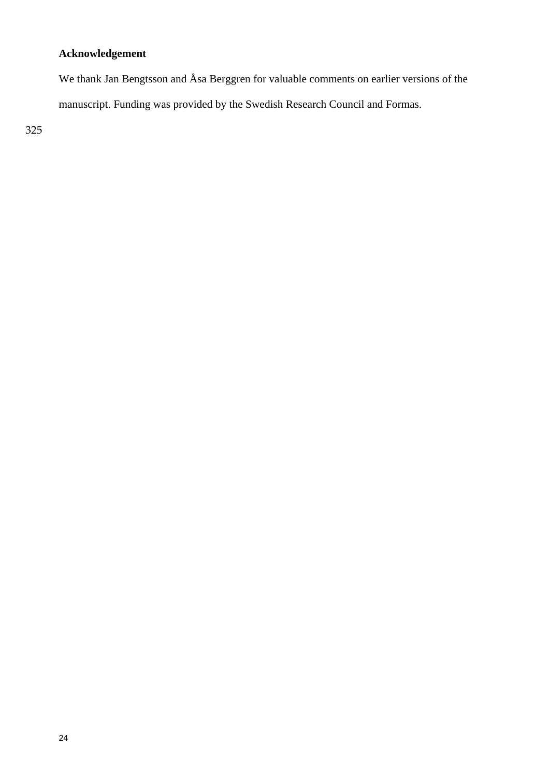# **Acknowledgement**

We thank Jan Bengtsson and Åsa Berggren for valuable comments on earlier versions of the manuscript. Funding was provided by the Swedish Research Council and Formas.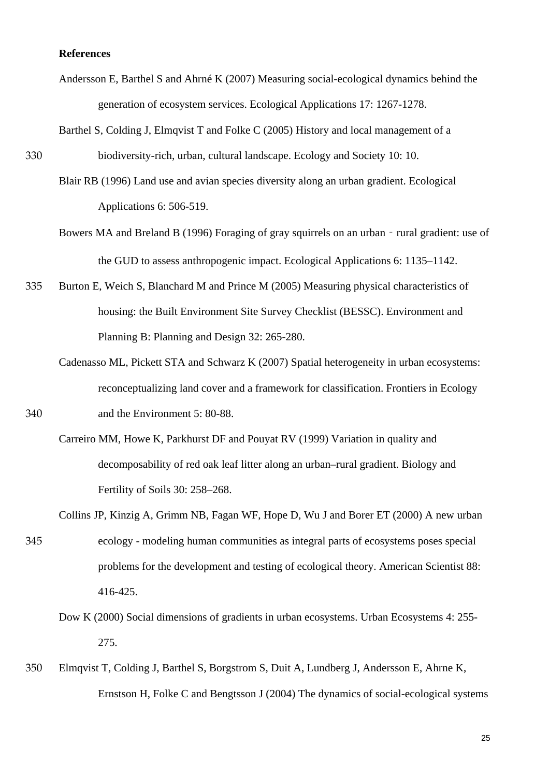### **References**

- Andersson E, Barthel S and Ahrné K (2007) Measuring social-ecological dynamics behind the generation of ecosystem services. Ecological Applications 17: 1267-1278.
- Barthel S, Colding J, Elmqvist T and Folke C (2005) History and local management of a 330 biodiversity-rich, urban, cultural landscape. Ecology and Society 10: 10.
	- Blair RB (1996) Land use and avian species diversity along an urban gradient. Ecological Applications 6: 506-519.
	- Bowers MA and Breland B (1996) Foraging of gray squirrels on an urban rural gradient: use of the GUD to assess anthropogenic impact. Ecological Applications 6: 1135–1142.
- 335 Burton E, Weich S, Blanchard M and Prince M (2005) Measuring physical characteristics of housing: the Built Environment Site Survey Checklist (BESSC). Environment and Planning B: Planning and Design 32: 265-280.
	- Cadenasso ML, Pickett STA and Schwarz K (2007) Spatial heterogeneity in urban ecosystems: reconceptualizing land cover and a framework for classification. Frontiers in Ecology and the Environment 5: 80-88.
	- Carreiro MM, Howe K, Parkhurst DF and Pouyat RV (1999) Variation in quality and decomposability of red oak leaf litter along an urban–rural gradient. Biology and Fertility of Soils 30: 258–268.
- 345 Collins JP, Kinzig A, Grimm NB, Fagan WF, Hope D, Wu J and Borer ET (2000) A new urban ecology - modeling human communities as integral parts of ecosystems poses special problems for the development and testing of ecological theory. American Scientist 88: 416-425.
	- Dow K (2000) Social dimensions of gradients in urban ecosystems. Urban Ecosystems 4: 255- 275.
- 350 Elmqvist T, Colding J, Barthel S, Borgstrom S, Duit A, Lundberg J, Andersson E, Ahrne K, Ernstson H, Folke C and Bengtsson J (2004) The dynamics of social-ecological systems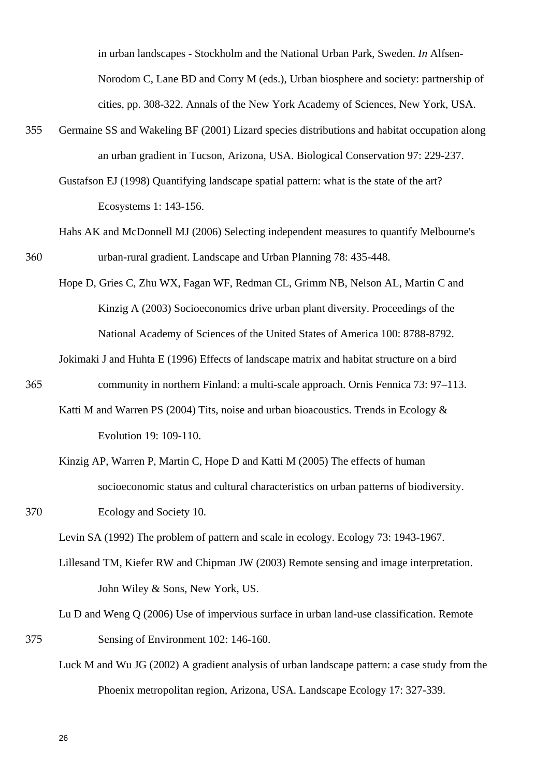in urban landscapes - Stockholm and the National Urban Park, Sweden. *In* Alfsen-Norodom C, Lane BD and Corry M (eds.), Urban biosphere and society: partnership of cities, pp. 308-322. Annals of the New York Academy of Sciences, New York, USA.

355 Germaine SS and Wakeling BF (2001) Lizard species distributions and habitat occupation along an urban gradient in Tucson, Arizona, USA. Biological Conservation 97: 229-237.

Gustafson EJ (1998) Quantifying landscape spatial pattern: what is the state of the art? Ecosystems 1: 143-156.

Hahs AK and McDonnell MJ (2006) Selecting independent measures to quantify Melbourne's urban-rural gradient. Landscape and Urban Planning 78: 435-448.

Hope D, Gries C, Zhu WX, Fagan WF, Redman CL, Grimm NB, Nelson AL, Martin C and Kinzig A (2003) Socioeconomics drive urban plant diversity. Proceedings of the National Academy of Sciences of the United States of America 100: 8788-8792.

- Jokimaki J and Huhta E (1996) Effects of landscape matrix and habitat structure on a bird community in northern Finland: a multi-scale approach. Ornis Fennica 73: 97–113.
	- Katti M and Warren PS (2004) Tits, noise and urban bioacoustics. Trends in Ecology  $\&$ Evolution 19: 109-110.

Kinzig AP, Warren P, Martin C, Hope D and Katti M (2005) The effects of human socioeconomic status and cultural characteristics on urban patterns of biodiversity. Ecology and Society 10.

Levin SA (1992) The problem of pattern and scale in ecology. Ecology 73: 1943-1967.

Lillesand TM, Kiefer RW and Chipman JW (2003) Remote sensing and image interpretation. John Wiley & Sons, New York, US.

Lu D and Weng Q (2006) Use of impervious surface in urban land-use classification. Remote Sensing of Environment 102: 146-160.

Luck M and Wu JG (2002) A gradient analysis of urban landscape pattern: a case study from the Phoenix metropolitan region, Arizona, USA. Landscape Ecology 17: 327-339.

26

360

365

370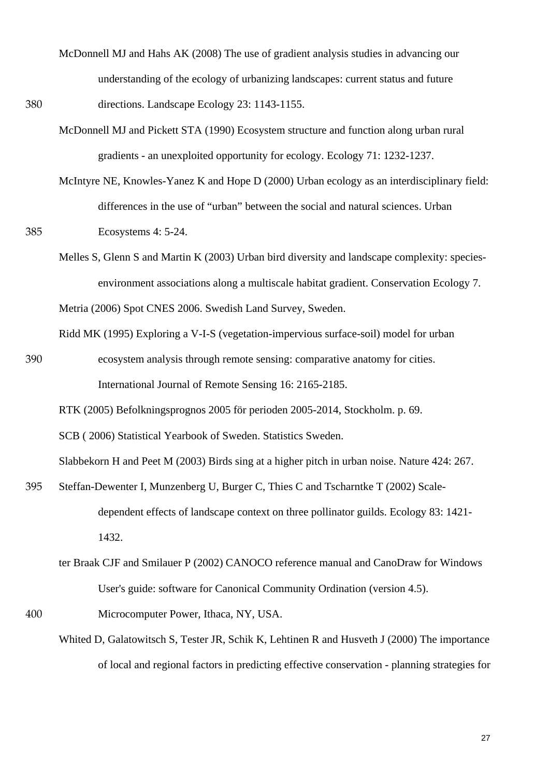McDonnell MJ and Hahs AK (2008) The use of gradient analysis studies in advancing our understanding of the ecology of urbanizing landscapes: current status and future 380 directions. Landscape Ecology 23: 1143-1155.

- McDonnell MJ and Pickett STA (1990) Ecosystem structure and function along urban rural gradients - an unexploited opportunity for ecology. Ecology 71: 1232-1237.
- McIntyre NE, Knowles-Yanez K and Hope D (2000) Urban ecology as an interdisciplinary field: differences in the use of "urban" between the social and natural sciences. Urban Ecosystems 4: 5-24.

Melles S, Glenn S and Martin K (2003) Urban bird diversity and landscape complexity: speciesenvironment associations along a multiscale habitat gradient. Conservation Ecology 7.

Metria (2006) Spot CNES 2006. Swedish Land Survey, Sweden.

385

Ridd MK (1995) Exploring a V-I-S (vegetation-impervious surface-soil) model for urban

390 ecosystem analysis through remote sensing: comparative anatomy for cities. International Journal of Remote Sensing 16: 2165-2185.

RTK (2005) Befolkningsprognos 2005 för perioden 2005-2014, Stockholm. p. 69.

SCB ( 2006) Statistical Yearbook of Sweden. Statistics Sweden.

Slabbekorn H and Peet M (2003) Birds sing at a higher pitch in urban noise. Nature 424: 267.

- 395 Steffan-Dewenter I, Munzenberg U, Burger C, Thies C and Tscharntke T (2002) Scaledependent effects of landscape context on three pollinator guilds. Ecology 83: 1421- 1432.
	- ter Braak CJF and Smilauer P (2002) CANOCO reference manual and CanoDraw for Windows User's guide: software for Canonical Community Ordination (version 4.5).
- 400 Microcomputer Power, Ithaca, NY, USA.
	- Whited D, Galatowitsch S, Tester JR, Schik K, Lehtinen R and Husveth J (2000) The importance of local and regional factors in predicting effective conservation - planning strategies for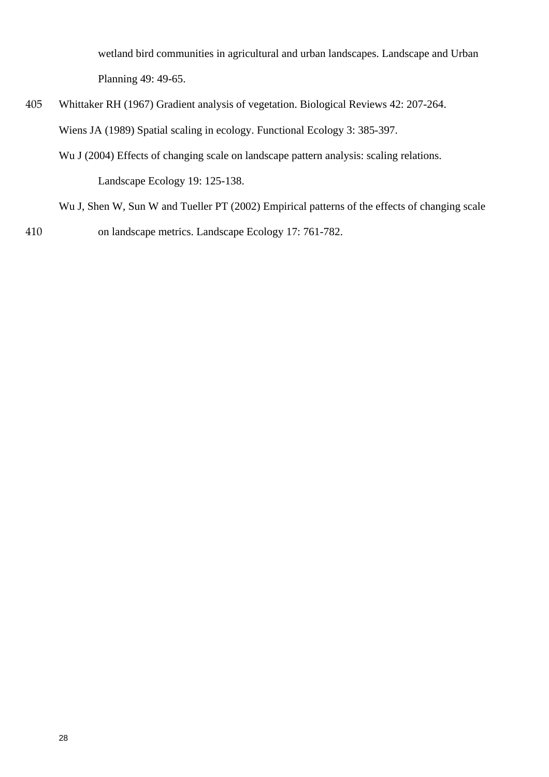wetland bird communities in agricultural and urban landscapes. Landscape and Urban Planning 49: 49-65.

- 405 Whittaker RH (1967) Gradient analysis of vegetation. Biological Reviews 42: 207-264. Wiens JA (1989) Spatial scaling in ecology. Functional Ecology 3: 385-397.
	- Wu J (2004) Effects of changing scale on landscape pattern analysis: scaling relations. Landscape Ecology 19: 125-138.

Wu J, Shen W, Sun W and Tueller PT (2002) Empirical patterns of the effects of changing scale

410 on landscape metrics. Landscape Ecology 17: 761-782.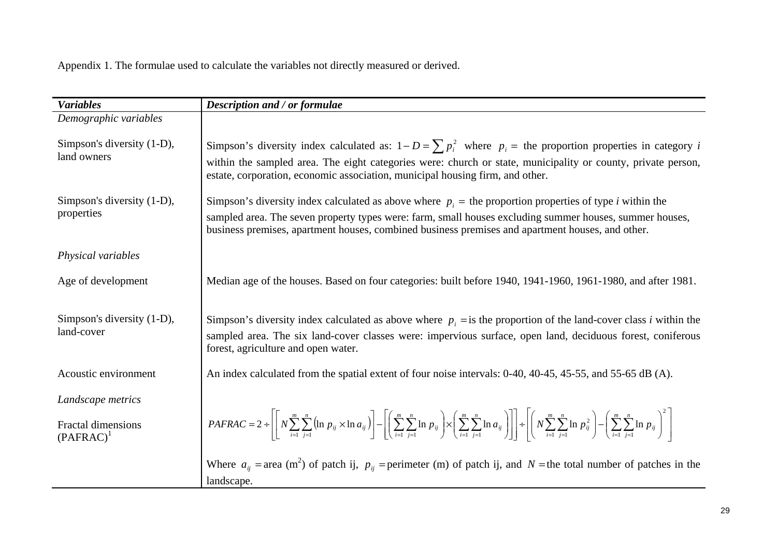Appendix 1. The formulae used to calculate the variables not directly measured or derived.

| <b>Variables</b>                            | <b>Description and / or formulae</b>                                                                                                                                                                                                                                                                                                                                                                                     |  |  |  |  |  |
|---------------------------------------------|--------------------------------------------------------------------------------------------------------------------------------------------------------------------------------------------------------------------------------------------------------------------------------------------------------------------------------------------------------------------------------------------------------------------------|--|--|--|--|--|
| Demographic variables                       |                                                                                                                                                                                                                                                                                                                                                                                                                          |  |  |  |  |  |
| Simpson's diversity (1-D),<br>land owners   | Simpson's diversity index calculated as: $1-D = \sum p_i^2$ where $p_i =$ the proportion properties in category i<br>within the sampled area. The eight categories were: church or state, municipality or county, private person,                                                                                                                                                                                        |  |  |  |  |  |
|                                             | estate, corporation, economic association, municipal housing firm, and other.                                                                                                                                                                                                                                                                                                                                            |  |  |  |  |  |
| Simpson's diversity (1-D),<br>properties    | Simpson's diversity index calculated as above where $p_i$ = the proportion properties of type <i>i</i> within the<br>sampled area. The seven property types were: farm, small houses excluding summer houses, summer houses,<br>business premises, apartment houses, combined business premises and apartment houses, and other.                                                                                         |  |  |  |  |  |
| Physical variables                          |                                                                                                                                                                                                                                                                                                                                                                                                                          |  |  |  |  |  |
| Age of development                          | Median age of the houses. Based on four categories: built before 1940, 1941-1960, 1961-1980, and after 1981.                                                                                                                                                                                                                                                                                                             |  |  |  |  |  |
| Simpson's diversity (1-D),<br>land-cover    | Simpson's diversity index calculated as above where $p_i$ = is the proportion of the land-cover class <i>i</i> within the                                                                                                                                                                                                                                                                                                |  |  |  |  |  |
|                                             | sampled area. The six land-cover classes were: impervious surface, open land, deciduous forest, coniferous<br>forest, agriculture and open water.                                                                                                                                                                                                                                                                        |  |  |  |  |  |
| Acoustic environment                        | An index calculated from the spatial extent of four noise intervals: 0-40, 40-45, 45-55, and 55-65 dB (A).                                                                                                                                                                                                                                                                                                               |  |  |  |  |  |
| Landscape metrics                           |                                                                                                                                                                                                                                                                                                                                                                                                                          |  |  |  |  |  |
| <b>Fractal dimensions</b><br>$(PAFRAC)^{1}$ | $PARTAC = 2 + \left\lceil N \sum_{i=1}^{m} \sum_{i=1}^{n} (\ln p_{ij} \times \ln a_{ij}) \right\rceil - \left\lceil \left( \sum_{i=1}^{m} \sum_{i=1}^{n} \ln p_{ij} \right) \times \left( \sum_{i=1}^{m} \sum_{i=1}^{n} \ln a_{ij} \right) \right\rceil \right\rceil + \left\lceil \left( N \sum_{i=1}^{m} \sum_{i=1}^{n} \ln p_{ij}^2 \right) - \left( \sum_{i=1}^{m} \sum_{i=1}^{n} \ln p_{ij} \right)^2 \right\rceil$ |  |  |  |  |  |
|                                             | Where $a_{ij}$ = area (m <sup>2</sup> ) of patch ij, $p_{ij}$ = perimeter (m) of patch ij, and N = the total number of patches in the                                                                                                                                                                                                                                                                                    |  |  |  |  |  |
|                                             | landscape.                                                                                                                                                                                                                                                                                                                                                                                                               |  |  |  |  |  |